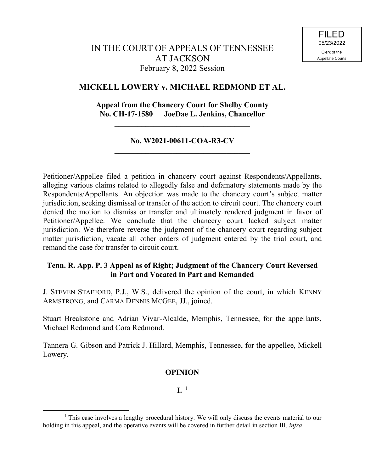# **MICKELL LOWERY v. MICHAEL REDMOND ET AL.**

# **Appeal from the Chancery Court for Shelby County No. CH-17-1580 JoeDae L. Jenkins, Chancellor**

# **No. W2021-00611-COA-R3-CV \_\_\_\_\_\_\_\_\_\_\_\_\_\_\_\_\_\_\_\_\_\_\_\_\_\_\_\_\_\_\_\_\_\_\_**

**\_\_\_\_\_\_\_\_\_\_\_\_\_\_\_\_\_\_\_\_\_\_\_\_\_\_\_\_\_\_\_\_\_\_\_**

Petitioner/Appellee filed a petition in chancery court against Respondents/Appellants, alleging various claims related to allegedly false and defamatory statements made by the Respondents/Appellants. An objection was made to the chancery court's subject matter jurisdiction, seeking dismissal or transfer of the action to circuit court. The chancery court denied the motion to dismiss or transfer and ultimately rendered judgment in favor of Petitioner/Appellee. We conclude that the chancery court lacked subject matter jurisdiction. We therefore reverse the judgment of the chancery court regarding subject matter jurisdiction, vacate all other orders of judgment entered by the trial court, and remand the case for transfer to circuit court.

# **Tenn. R. App. P. 3 Appeal as of Right; Judgment of the Chancery Court Reversed in Part and Vacated in Part and Remanded**

J. STEVEN STAFFORD, P.J., W.S., delivered the opinion of the court, in which KENNY ARMSTRONG, and CARMA DENNIS MCGEE, JJ., joined.

Stuart Breakstone and Adrian Vivar-Alcalde, Memphis, Tennessee, for the appellants, Michael Redmond and Cora Redmond.

Tannera G. Gibson and Patrick J. Hillard, Memphis, Tennessee, for the appellee, Mickell Lowery.

## **OPINION**

 $\mathbf{I} \cdot$ <sup>1</sup>

<sup>&</sup>lt;sup>1</sup> This case involves a lengthy procedural history. We will only discuss the events material to our holding in this appeal, and the operative events will be covered in further detail in section III, *infra*.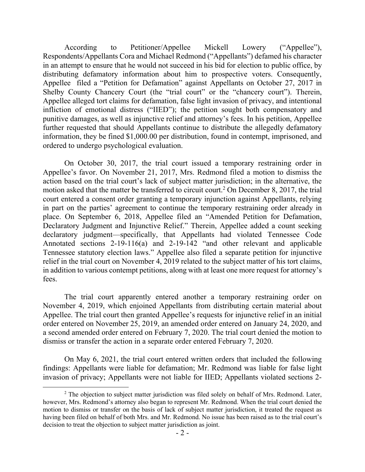According to Petitioner/Appellee Mickell Lowery ("Appellee"), Respondents/Appellants Cora and Michael Redmond ("Appellants") defamed his character in an attempt to ensure that he would not succeed in his bid for election to public office, by distributing defamatory information about him to prospective voters. Consequently, Appellee filed a "Petition for Defamation" against Appellants on October 27, 2017 in Shelby County Chancery Court (the "trial court" or the "chancery court"). Therein, Appellee alleged tort claims for defamation, false light invasion of privacy, and intentional infliction of emotional distress ("IIED"); the petition sought both compensatory and punitive damages, as well as injunctive relief and attorney's fees. In his petition, Appellee further requested that should Appellants continue to distribute the allegedly defamatory information, they be fined \$1,000.00 per distribution, found in contempt, imprisoned, and ordered to undergo psychological evaluation.

On October 30, 2017, the trial court issued a temporary restraining order in Appellee's favor. On November 21, 2017, Mrs. Redmond filed a motion to dismiss the action based on the trial court's lack of subject matter jurisdiction; in the alternative, the motion asked that the matter be transferred to circuit court.<sup>2</sup> On December 8, 2017, the trial court entered a consent order granting a temporary injunction against Appellants, relying in part on the parties' agreement to continue the temporary restraining order already in place. On September 6, 2018, Appellee filed an "Amended Petition for Defamation, Declaratory Judgment and Injunctive Relief." Therein, Appellee added a count seeking declaratory judgment—specifically, that Appellants had violated Tennessee Code Annotated sections 2-19-116(a) and 2-19-142 "and other relevant and applicable Tennessee statutory election laws." Appellee also filed a separate petition for injunctive relief in the trial court on November 4, 2019 related to the subject matter of his tort claims, in addition to various contempt petitions, along with at least one more request for attorney's fees.

The trial court apparently entered another a temporary restraining order on November 4, 2019, which enjoined Appellants from distributing certain material about Appellee. The trial court then granted Appellee's requests for injunctive relief in an initial order entered on November 25, 2019, an amended order entered on January 24, 2020, and a second amended order entered on February 7, 2020. The trial court denied the motion to dismiss or transfer the action in a separate order entered February 7, 2020.

On May 6, 2021, the trial court entered written orders that included the following findings: Appellants were liable for defamation; Mr. Redmond was liable for false light invasion of privacy; Appellants were not liable for IIED; Appellants violated sections 2-

<sup>&</sup>lt;sup>2</sup> The objection to subject matter jurisdiction was filed solely on behalf of Mrs. Redmond. Later, however, Mrs. Redmond's attorney also began to represent Mr. Redmond. When the trial court denied the motion to dismiss or transfer on the basis of lack of subject matter jurisdiction, it treated the request as having been filed on behalf of both Mrs. and Mr. Redmond. No issue has been raised as to the trial court's decision to treat the objection to subject matter jurisdiction as joint.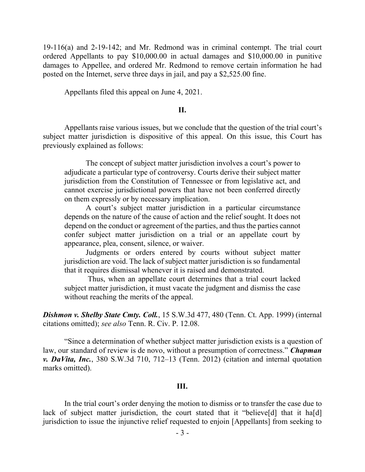19-116(a) and 2-19-142; and Mr. Redmond was in criminal contempt. The trial court ordered Appellants to pay \$10,000.00 in actual damages and \$10,000.00 in punitive damages to Appellee, and ordered Mr. Redmond to remove certain information he had posted on the Internet, serve three days in jail, and pay a \$2,525.00 fine.

Appellants filed this appeal on June 4, 2021.

#### **II.**

Appellants raise various issues, but we conclude that the question of the trial court's subject matter jurisdiction is dispositive of this appeal. On this issue, this Court has previously explained as follows:

The concept of subject matter jurisdiction involves a court's power to adjudicate a particular type of controversy. Courts derive their subject matter jurisdiction from the Constitution of Tennessee or from legislative act, and cannot exercise jurisdictional powers that have not been conferred directly on them expressly or by necessary implication.

A court's subject matter jurisdiction in a particular circumstance depends on the nature of the cause of action and the relief sought. It does not depend on the conduct or agreement of the parties, and thus the parties cannot confer subject matter jurisdiction on a trial or an appellate court by appearance, plea, consent, silence, or waiver.

Judgments or orders entered by courts without subject matter jurisdiction are void. The lack of subject matter jurisdiction is so fundamental that it requires dismissal whenever it is raised and demonstrated.

Thus, when an appellate court determines that a trial court lacked subject matter jurisdiction, it must vacate the judgment and dismiss the case without reaching the merits of the appeal.

*Dishmon v. Shelby State Cmty. Coll.*, 15 S.W.3d 477, 480 (Tenn. Ct. App. 1999) (internal citations omitted); *see also* Tenn. R. Civ. P. 12.08.

"Since a determination of whether subject matter jurisdiction exists is a question of law, our standard of review is de novo, without a presumption of correctness." *Chapman v. DaVita, Inc.*, 380 S.W.3d 710, 712–13 (Tenn. 2012) (citation and internal quotation marks omitted).

#### **III.**

In the trial court's order denying the motion to dismiss or to transfer the case due to lack of subject matter jurisdiction, the court stated that it "believe<sup>[d]</sup> that it ha<sup>[d]</sup> jurisdiction to issue the injunctive relief requested to enjoin [Appellants] from seeking to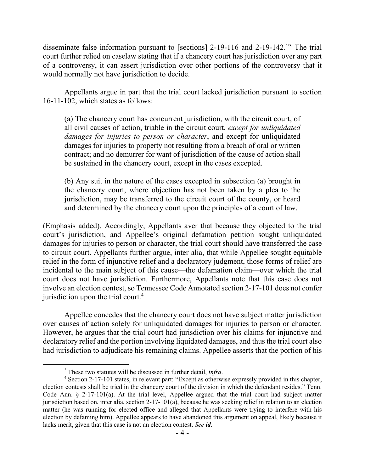disseminate false information pursuant to [sections] 2-19-116 and 2-19-142."<sup>3</sup> The trial court further relied on caselaw stating that if a chancery court has jurisdiction over any part of a controversy, it can assert jurisdiction over other portions of the controversy that it would normally not have jurisdiction to decide.

Appellants argue in part that the trial court lacked jurisdiction pursuant to section 16-11-102, which states as follows:

(a) The chancery court has concurrent jurisdiction, with the circuit court, of all civil causes of action, triable in the circuit court, *except for unliquidated damages for injuries to person or character*, and except for unliquidated damages for injuries to property not resulting from a breach of oral or written contract; and no demurrer for want of jurisdiction of the cause of action shall be sustained in the chancery court, except in the cases excepted.

(b) Any suit in the nature of the cases excepted in subsection (a) brought in the chancery court, where objection has not been taken by a plea to the jurisdiction, may be transferred to the circuit court of the county, or heard and determined by the chancery court upon the principles of a court of law.

(Emphasis added). Accordingly, Appellants aver that because they objected to the trial court's jurisdiction, and Appellee's original defamation petition sought unliquidated damages for injuries to person or character, the trial court should have transferred the case to circuit court. Appellants further argue, inter alia, that while Appellee sought equitable relief in the form of injunctive relief and a declaratory judgment, those forms of relief are incidental to the main subject of this cause—the defamation claim—over which the trial court does not have jurisdiction. Furthermore, Appellants note that this case does not involve an election contest, so Tennessee Code Annotated section 2-17-101 does not confer jurisdiction upon the trial court.<sup>4</sup>

Appellee concedes that the chancery court does not have subject matter jurisdiction over causes of action solely for unliquidated damages for injuries to person or character. However, he argues that the trial court had jurisdiction over his claims for injunctive and declaratory relief and the portion involving liquidated damages, and thus the trial court also had jurisdiction to adjudicate his remaining claims. Appellee asserts that the portion of his

<sup>3</sup> These two statutes will be discussed in further detail, *infra*.

<sup>4</sup> Section 2-17-101 states, in relevant part: "Except as otherwise expressly provided in this chapter, election contests shall be tried in the chancery court of the division in which the defendant resides." Tenn. Code Ann. § 2-17-101(a). At the trial level, Appellee argued that the trial court had subject matter jurisdiction based on, inter alia, section 2-17-101(a), because he was seeking relief in relation to an election matter (he was running for elected office and alleged that Appellants were trying to interfere with his election by defaming him). Appellee appears to have abandoned this argument on appeal, likely because it lacks merit, given that this case is not an election contest. *See id.*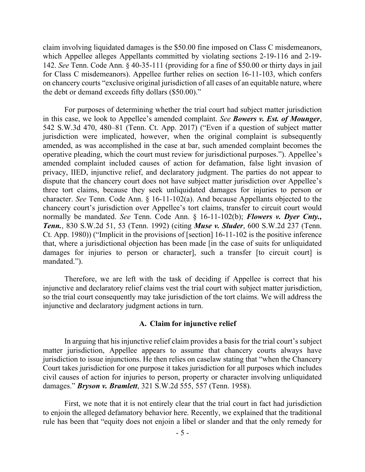claim involving liquidated damages is the \$50.00 fine imposed on Class C misdemeanors, which Appellee alleges Appellants committed by violating sections 2-19-116 and 2-19- 142. *See* Tenn. Code Ann. § 40-35-111 (providing for a fine of \$50.00 or thirty days in jail for Class C misdemeanors). Appellee further relies on section 16-11-103, which confers on chancery courts "exclusive original jurisdiction of all cases of an equitable nature, where the debt or demand exceeds fifty dollars (\$50.00)."

For purposes of determining whether the trial court had subject matter jurisdiction in this case, we look to Appellee's amended complaint. *See Bowers v. Est. of Mounger*, 542 S.W.3d 470, 480–81 (Tenn. Ct. App. 2017) ("Even if a question of subject matter jurisdiction were implicated, however, when the original complaint is subsequently amended, as was accomplished in the case at bar, such amended complaint becomes the operative pleading, which the court must review for jurisdictional purposes."). Appellee's amended complaint included causes of action for defamation, false light invasion of privacy, IIED, injunctive relief, and declaratory judgment. The parties do not appear to dispute that the chancery court does not have subject matter jurisdiction over Appellee's three tort claims, because they seek unliquidated damages for injuries to person or character. *See* Tenn. Code Ann. § 16-11-102(a). And because Appellants objected to the chancery court's jurisdiction over Appellee's tort claims, transfer to circuit court would normally be mandated. *See* Tenn. Code Ann. § 16-11-102(b); *Flowers v. Dyer Cnty., Tenn.*, 830 S.W.2d 51, 53 (Tenn. 1992) (citing *Muse v. Sluder*, 600 S.W.2d 237 (Tenn. Ct. App. 1980)) ("Implicit in the provisions of [section] 16-11-102 is the positive inference that, where a jurisdictional objection has been made [in the case of suits for unliquidated damages for injuries to person or character], such a transfer [to circuit court] is mandated.").

Therefore, we are left with the task of deciding if Appellee is correct that his injunctive and declaratory relief claims vest the trial court with subject matter jurisdiction, so the trial court consequently may take jurisdiction of the tort claims. We will address the injunctive and declaratory judgment actions in turn.

#### **A. Claim for injunctive relief**

In arguing that his injunctive relief claim provides a basis for the trial court's subject matter jurisdiction, Appellee appears to assume that chancery courts always have jurisdiction to issue injunctions. He then relies on caselaw stating that "when the Chancery Court takes jurisdiction for one purpose it takes jurisdiction for all purposes which includes civil causes of action for injuries to person, property or character involving unliquidated damages." *Bryson v. Bramlett*, 321 S.W.2d 555, 557 (Tenn. 1958).

First, we note that it is not entirely clear that the trial court in fact had jurisdiction to enjoin the alleged defamatory behavior here. Recently, we explained that the traditional rule has been that "equity does not enjoin a libel or slander and that the only remedy for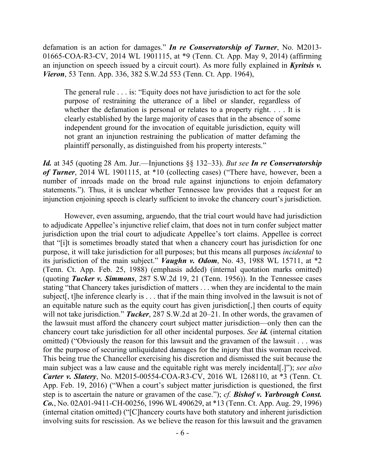defamation is an action for damages." *In re Conservatorship of Turner*, No. M2013- 01665-COA-R3-CV, 2014 WL 1901115, at \*9 (Tenn. Ct. App. May 9, 2014) (affirming an injunction on speech issued by a circuit court). As more fully explained in *Kyritsis v. Vieron*, 53 Tenn. App. 336, 382 S.W.2d 553 (Tenn. Ct. App. 1964),

The general rule . . . is: "Equity does not have jurisdiction to act for the sole purpose of restraining the utterance of a libel or slander, regardless of whether the defamation is personal or relates to a property right. . . . It is clearly established by the large majority of cases that in the absence of some independent ground for the invocation of equitable jurisdiction, equity will not grant an injunction restraining the publication of matter defaming the plaintiff personally, as distinguished from his property interests."

*Id.* at 345 (quoting 28 Am. Jur.—Injunctions §§ 132–33). *But see In re Conservatorship of Turner*, 2014 WL 1901115, at \*10 (collecting cases) ("There have, however, been a number of inroads made on the broad rule against injunctions to enjoin defamatory statements."). Thus, it is unclear whether Tennessee law provides that a request for an injunction enjoining speech is clearly sufficient to invoke the chancery court's jurisdiction.

However, even assuming, arguendo, that the trial court would have had jurisdiction to adjudicate Appellee's injunctive relief claim, that does not in turn confer subject matter jurisdiction upon the trial court to adjudicate Appellee's tort claims. Appellee is correct that "[i]t is sometimes broadly stated that when a chancery court has jurisdiction for one purpose, it will take jurisdiction for all purposes; but this means all purposes *incidental* to its jurisdiction of the main subject." *Vaughn v. Odom*, No. 43, 1988 WL 15711, at \*2 (Tenn. Ct. App. Feb. 25, 1988) (emphasis added) (internal quotation marks omitted) (quoting *Tucker v. Simmons*, 287 S.W.2d 19, 21 (Tenn. 1956)). In the Tennessee cases stating "that Chancery takes jurisdiction of matters . . . when they are incidental to the main subject[, t]he inference clearly is . . . that if the main thing involved in the lawsuit is not of an equitable nature such as the equity court has given jurisdiction[,] then courts of equity will not take jurisdiction." *Tucker*, 287 S.W.2d at 20–21. In other words, the gravamen of the lawsuit must afford the chancery court subject matter jurisdiction—only then can the chancery court take jurisdiction for all other incidental purposes. *See id.* (internal citation omitted) ("Obviously the reason for this lawsuit and the gravamen of the lawsuit . . . was for the purpose of securing unliquidated damages for the injury that this woman received. This being true the Chancellor exercising his discretion and dismissed the suit because the main subject was a law cause and the equitable right was merely incidental[.]"); *see also Carter v. Slatery*, No. M2015-00554-COA-R3-CV, 2016 WL 1268110, at \*3 (Tenn. Ct. App. Feb. 19, 2016) ("When a court's subject matter jurisdiction is questioned, the first step is to ascertain the nature or gravamen of the case."); *cf. Bishof v. Yarbrough Const. Co.*, No. 02A01-9411-CH-00256, 1996 WL 490629, at \*13 (Tenn. Ct. App. Aug. 29, 1996) (internal citation omitted) ("[C]hancery courts have both statutory and inherent jurisdiction involving suits for rescission. As we believe the reason for this lawsuit and the gravamen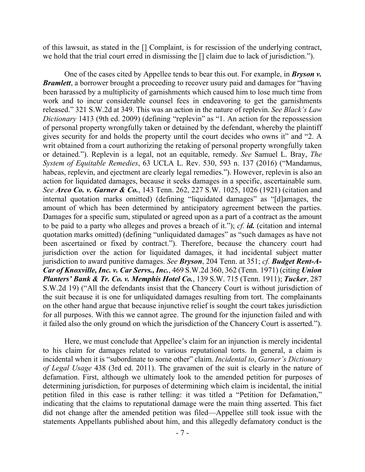of this lawsuit, as stated in the [] Complaint, is for rescission of the underlying contract, we hold that the trial court erred in dismissing the [] claim due to lack of jurisdiction.").

One of the cases cited by Appellee tends to bear this out. For example, in *Bryson v. Bramlett*, a borrower brought a proceeding to recover usury paid and damages for "having been harassed by a multiplicity of garnishments which caused him to lose much time from work and to incur considerable counsel fees in endeavoring to get the garnishments released." 321 S.W.2d at 349. This was an action in the nature of replevin. *See Black's Law Dictionary* 1413 (9th ed. 2009) (defining "replevin" as "1. An action for the repossession of personal property wrongfully taken or detained by the defendant, whereby the plaintiff gives security for and holds the property until the court decides who owns it" and "2. A writ obtained from a court authorizing the retaking of personal property wrongfully taken or detained."). Replevin is a legal, not an equitable, remedy. *See* Samuel L. Bray, *The System of Equitable Remedies*, 63 UCLA L. Rev. 530, 593 n. 137 (2016) ("Mandamus, habeas, replevin, and ejectment are clearly legal remedies."). However, replevin is also an action for liquidated damages, because it seeks damages in a specific, ascertainable sum. *See Arco Co. v. Garner & Co.*, 143 Tenn. 262, 227 S.W. 1025, 1026 (1921) (citation and internal quotation marks omitted) (defining "liquidated damages" as "[d]amages, the amount of which has been determined by anticipatory agreement between the parties. Damages for a specific sum, stipulated or agreed upon as a part of a contract as the amount to be paid to a party who alleges and proves a breach of it."); *cf. id.* (citation and internal quotation marks omitted) (defining "unliquidated damages" as "such damages as have not been ascertained or fixed by contract."). Therefore, because the chancery court had jurisdiction over the action for liquidated damages, it had incidental subject matter jurisdiction to award punitive damages. *See Bryson*, 204 Tenn. at 351; *cf. Budget Rent-A-Car of Knoxville, Inc. v. Car Servs., Inc.*, 469 S.W.2d 360, 362 (Tenn. 1971) (citing *Union Planters' Bank & Tr. Co. v. Memphis Hotel Co.*, 139 S.W. 715 (Tenn. 1911); *Tucker*, 287 S.W.2d 19) ("All the defendants insist that the Chancery Court is without jurisdiction of the suit because it is one for unliquidated damages resulting from tort. The complainants on the other hand argue that because injunctive relief is sought the court takes jurisdiction for all purposes. With this we cannot agree. The ground for the injunction failed and with it failed also the only ground on which the jurisdiction of the Chancery Court is asserted.").

Here, we must conclude that Appellee's claim for an injunction is merely incidental to his claim for damages related to various reputational torts. In general, a claim is incidental when it is "subordinate to some other" claim. *Incidental to*, *Garner's Dictionary of Legal Usage* 438 (3rd ed. 2011). The gravamen of the suit is clearly in the nature of defamation. First, although we ultimately look to the amended petition for purposes of determining jurisdiction, for purposes of determining which claim is incidental, the initial petition filed in this case is rather telling: it was titled a "Petition for Defamation," indicating that the claims to reputational damage were the main thing asserted. This fact did not change after the amended petition was filed—Appellee still took issue with the statements Appellants published about him, and this allegedly defamatory conduct is the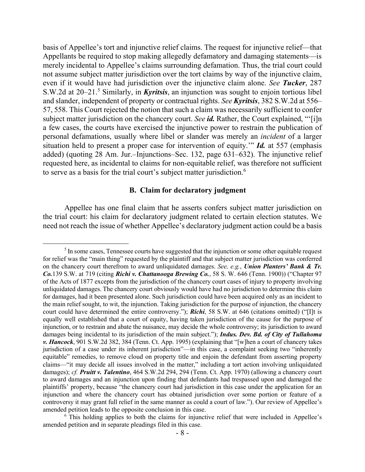basis of Appellee's tort and injunctive relief claims. The request for injunctive relief—that Appellants be required to stop making allegedly defamatory and damaging statements—is merely incidental to Appellee's claims surrounding defamation. Thus, the trial court could not assume subject matter jurisdiction over the tort claims by way of the injunctive claim, even if it would have had jurisdiction over the injunctive claim alone. *See Tucker*, 287 S.W.2d at 20–21.<sup>5</sup> Similarly, in *Kyritsis*, an injunction was sought to enjoin tortious libel and slander, independent of property or contractual rights. *See Kyritsis*, 382 S.W.2d at 556– 57, 558. This Court rejected the notion that such a claim was necessarily sufficient to confer subject matter jurisdiction on the chancery court. *See id*. Rather, the Court explained, "'[i]n a few cases, the courts have exercised the injunctive power to restrain the publication of personal defamations, usually where libel or slander was merely an *incident* of a larger situation held to present a proper case for intervention of equity.'" *Id.* at 557 (emphasis added) (quoting 28 Am. Jur.–Injunctions–Sec. 132, page 631–632). The injunctive relief requested here, as incidental to claims for non-equitable relief, was therefore not sufficient to serve as a basis for the trial court's subject matter jurisdiction.<sup>6</sup>

## **B. Claim for declaratory judgment**

Appellee has one final claim that he asserts confers subject matter jurisdiction on the trial court: his claim for declaratory judgment related to certain election statutes. We need not reach the issue of whether Appellee's declaratory judgment action could be a basis

 $<sup>5</sup>$  In some cases, Tennessee courts have suggested that the injunction or some other equitable request</sup> for relief was the "main thing" requested by the plaintiff and that subject matter jurisdiction was conferred on the chancery court therefrom to award unliquidated damages. *See, e.g.*, *Union Planters' Bank & Tr. Co.*139 S.W. at 719 (citing *Richi v. Chattanooga Brewing Co.*, 58 S. W. 646 (Tenn. 1900)) ("Chapter 97 of the Acts of 1877 excepts from the jurisdiction of the chancery court cases of injury to property involving unliquidated damages. The chancery court obviously would have had no jurisdiction to determine this claim for damages, had it been presented alone. Such jurisdiction could have been acquired only as an incident to the main relief sought, to wit, the injunction. Taking jurisdiction for the purpose of injunction, the chancery court could have determined the entire controversy."); *Richi*, 58 S.W. at 646 (citations omitted) ("[I]t is equally well established that a court of equity, having taken jurisdiction of the cause for the purpose of injunction, or to restrain and abate the nuisance, may decide the whole controversy; its jurisdiction to award damages being incidental to its jurisdiction of the main subject."); *Indus. Dev. Bd. of City of Tullahoma v. Hancock*, 901 S.W.2d 382, 384 (Tenn. Ct. App. 1995) (explaining that "[w]hen a court of chancery takes jurisdiction of a case under its inherent jurisdiction"—in this case, a complaint seeking two "inherently equitable" remedies, to remove cloud on property title and enjoin the defendant from asserting property claims—"it may decide all issues involved in the matter," including a tort action involving unliquidated damages); *cf. Pruitt v. Talentino*, 464 S.W.2d 294, 294 (Tenn. Ct. App. 1970) (allowing a chancery court to award damages and an injunction upon finding that defendants had trespassed upon and damaged the plaintiffs' property, because "the chancery court had jurisdiction in this case under the application for an injunction and where the chancery court has obtained jurisdiction over some portion or feature of a controversy it may grant full relief in the same manner as could a court of law."). Our review of Appellee's amended petition leads to the opposite conclusion in this case.

 $6$ . This holding applies to both the claims for injunctive relief that were included in Appellee's amended petition and in separate pleadings filed in this case.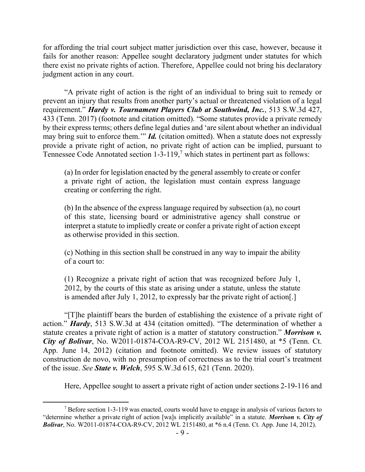for affording the trial court subject matter jurisdiction over this case, however, because it fails for another reason: Appellee sought declaratory judgment under statutes for which there exist no private rights of action. Therefore, Appellee could not bring his declaratory judgment action in any court.

"A private right of action is the right of an individual to bring suit to remedy or prevent an injury that results from another party's actual or threatened violation of a legal requirement." *Hardy v. Tournament Players Club at Southwind, Inc.*, 513 S.W.3d 427, 433 (Tenn. 2017) (footnote and citation omitted). "Some statutes provide a private remedy by their express terms; others define legal duties and 'are silent about whether an individual may bring suit to enforce them.'" *Id.* (citation omitted). When a statute does not expressly provide a private right of action, no private right of action can be implied, pursuant to Tennessee Code Annotated section 1-3-119, <sup>7</sup> which states in pertinent part as follows:

(a) In order for legislation enacted by the general assembly to create or confer a private right of action, the legislation must contain express language creating or conferring the right.

(b) In the absence of the express language required by subsection (a), no court of this state, licensing board or administrative agency shall construe or interpret a statute to impliedly create or confer a private right of action except as otherwise provided in this section.

(c) Nothing in this section shall be construed in any way to impair the ability of a court to:

(1) Recognize a private right of action that was recognized before July 1, 2012, by the courts of this state as arising under a statute, unless the statute is amended after July 1, 2012, to expressly bar the private right of action[.]

"[T]he plaintiff bears the burden of establishing the existence of a private right of action." *Hardy*, 513 S.W.3d at 434 (citation omitted). "The determination of whether a statute creates a private right of action is a matter of statutory construction." *Morrison v. City of Bolivar*, No. W2011-01874-COA-R9-CV, 2012 WL 2151480, at \*5 (Tenn. Ct. App. June 14, 2012) (citation and footnote omitted). We review issues of statutory construction de novo, with no presumption of correctness as to the trial court's treatment of the issue. *See State v. Welch*, 595 S.W.3d 615, 621 (Tenn. 2020).

Here, Appellee sought to assert a private right of action under sections 2-19-116 and

 $7$  Before section 1-3-119 was enacted, courts would have to engage in analysis of various factors to "determine whether a private right of action [wa]s implicitly available" in a statute. *Morrison v. City of Bolivar*, No. W2011-01874-COA-R9-CV, 2012 WL 2151480, at \*6 n.4 (Tenn. Ct. App. June 14, 2012).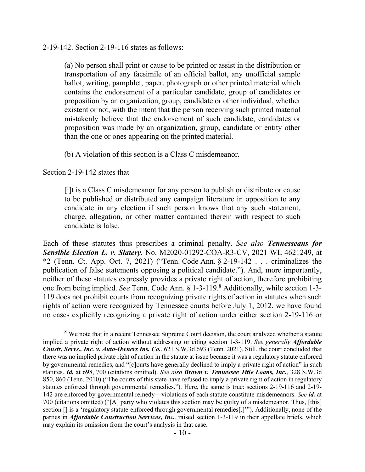## 2-19-142. Section 2-19-116 states as follows:

(a) No person shall print or cause to be printed or assist in the distribution or transportation of any facsimile of an official ballot, any unofficial sample ballot, writing, pamphlet, paper, photograph or other printed material which contains the endorsement of a particular candidate, group of candidates or proposition by an organization, group, candidate or other individual, whether existent or not, with the intent that the person receiving such printed material mistakenly believe that the endorsement of such candidate, candidates or proposition was made by an organization, group, candidate or entity other than the one or ones appearing on the printed material.

(b) A violation of this section is a Class C misdemeanor.

Section 2-19-142 states that

 $\overline{a}$ 

[i]t is a Class C misdemeanor for any person to publish or distribute or cause to be published or distributed any campaign literature in opposition to any candidate in any election if such person knows that any such statement, charge, allegation, or other matter contained therein with respect to such candidate is false.

Each of these statutes thus prescribes a criminal penalty. *See also Tennesseans for Sensible Election L. v. Slatery*, No. M2020-01292-COA-R3-CV, 2021 WL 4621249, at \*2 (Tenn. Ct. App. Oct. 7, 2021) ("Tenn. Code Ann.  $\S$  2-19-142 . . . criminalizes the publication of false statements opposing a political candidate."). And, more importantly, neither of these statutes expressly provides a private right of action, therefore prohibiting one from being implied. *See* Tenn. Code Ann. § 1-3-119. <sup>8</sup> Additionally, while section 1-3- 119 does not prohibit courts from recognizing private rights of action in statutes when such rights of action were recognized by Tennessee courts before July 1, 2012, we have found no cases explicitly recognizing a private right of action under either section 2-19-116 or

<sup>&</sup>lt;sup>8</sup> We note that in a recent Tennessee Supreme Court decision, the court analyzed whether a statute implied a private right of action without addressing or citing section 1-3-119. *See generally Affordable Constr. Servs., Inc. v. Auto-Owners Ins. Co.*, 621 S.W.3d 693 (Tenn. 2021). Still, the court concluded that there was no implied private right of action in the statute at issue because it was a regulatory statute enforced by governmental remedies, and "[c]ourts have generally declined to imply a private right of action" in such statutes. *Id.* at 698, 700 (citations omitted). *See also Brown v. Tennessee Title Loans, Inc.*, 328 S.W.3d 850, 860 (Tenn. 2010) ("The courts of this state have refused to imply a private right of action in regulatory statutes enforced through governmental remedies."). Here, the same is true: sections 2-19-116 and 2-19- 142 are enforced by governmental remedy—violations of each statute constitute misdemeanors. *See id.* at 700 (citations omitted) ("[A] party who violates this section may be guilty of a misdemeanor. Thus, [this] section [] is a 'regulatory statute enforced through governmental remedies[.]'"). Additionally, none of the parties in *Affordable Construction Services, Inc.*, raised section 1-3-119 in their appellate briefs, which may explain its omission from the court's analysis in that case.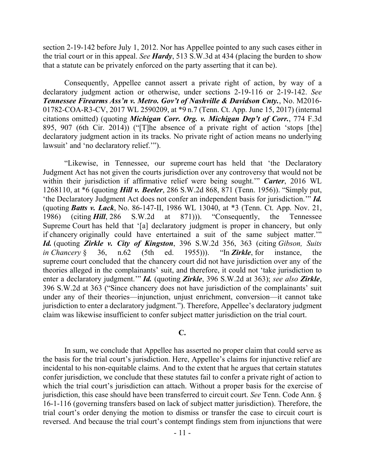section 2-19-142 before July 1, 2012. Nor has Appellee pointed to any such cases either in the trial court or in this appeal. *See Hardy*, 513 S.W.3d at 434 (placing the burden to show that a statute can be privately enforced on the party asserting that it can be).

Consequently, Appellee cannot assert a private right of action, by way of a declaratory judgment action or otherwise, under sections 2-19-116 or 2-19-142. *See Tennessee Firearms Ass'n v. Metro. Gov't of Nashville & Davidson Cnty.*, No. M2016- 01782-COA-R3-CV, 2017 WL 2590209, at \*9 n.7 (Tenn. Ct. App. June 15, 2017) (internal citations omitted) (quoting *Michigan Corr. Org. v. Michigan Dep't of Corr.*, 774 F.3d 895, 907 (6th Cir. 2014)) ("[T]he absence of a private right of action 'stops [the] declaratory judgment action in its tracks. No private right of action means no underlying lawsuit' and 'no declaratory relief.'").

"Likewise, in Tennessee, our supreme court has held that 'the Declaratory Judgment Act has not given the courts jurisdiction over any controversy that would not be within their jurisdiction if affirmative relief were being sought.'" *Carter*, 2016 WL 1268110, at \*6 (quoting *Hill v. Beeler*, 286 S.W.2d 868, 871 (Tenn. 1956)). "Simply put, 'the Declaratory Judgment Act does not confer an independent basis for jurisdiction.'" *Id.* (quoting *Batts v. Lack*, No. 86-147-II, 1986 WL 13040, at \*3 (Tenn. Ct. App. Nov. 21, 1986) (citing *Hill*, 286 S.W.2d at 871))). "Consequently, the Tennessee Supreme Court has held that '[a] declaratory judgment is proper in chancery, but only if chancery originally could have entertained a suit of the same subject matter.'" *Id.* (quoting *Zirkle v. City of Kingston*, 396 S.W.2d 356, 363 (citing *Gibson, Suits in Chancery* § 36, n.62 (5th ed. 1955))). "In *Zirkle*, for instance, the supreme court concluded that the chancery court did not have jurisdiction over any of the theories alleged in the complainants' suit, and therefore, it could not 'take jurisdiction to enter a declaratory judgment.'" *Id.* (quoting *Zirkle*, 396 S.W.2d at 363); *see also Zirkle*, 396 S.W.2d at 363 ("Since chancery does not have jurisdiction of the complainants' suit under any of their theories—injunction, unjust enrichment, conversion—it cannot take jurisdiction to enter a declaratory judgment."). Therefore, Appellee's declaratory judgment claim was likewise insufficient to confer subject matter jurisdiction on the trial court.

### **C.**

In sum, we conclude that Appellee has asserted no proper claim that could serve as the basis for the trial court's jurisdiction. Here, Appellee's claims for injunctive relief are incidental to his non-equitable claims. And to the extent that he argues that certain statutes confer jurisdiction, we conclude that these statutes fail to confer a private right of action to which the trial court's jurisdiction can attach. Without a proper basis for the exercise of jurisdiction, this case should have been transferred to circuit court. *See* Tenn. Code Ann. § 16-1-116 (governing transfers based on lack of subject matter jurisdiction). Therefore, the trial court's order denying the motion to dismiss or transfer the case to circuit court is reversed. And because the trial court's contempt findings stem from injunctions that were